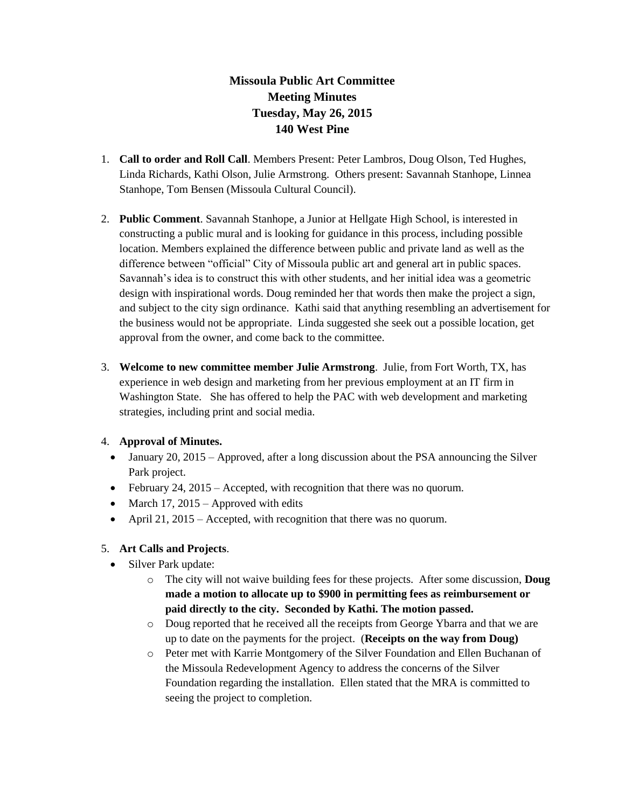## **Missoula Public Art Committee Meeting Minutes Tuesday, May 26, 2015 140 West Pine**

- 1. **Call to order and Roll Call**. Members Present: Peter Lambros, Doug Olson, Ted Hughes, Linda Richards, Kathi Olson, Julie Armstrong. Others present: Savannah Stanhope, Linnea Stanhope, Tom Bensen (Missoula Cultural Council).
- 2. **Public Comment**. Savannah Stanhope, a Junior at Hellgate High School, is interested in constructing a public mural and is looking for guidance in this process, including possible location. Members explained the difference between public and private land as well as the difference between "official" City of Missoula public art and general art in public spaces. Savannah's idea is to construct this with other students, and her initial idea was a geometric design with inspirational words. Doug reminded her that words then make the project a sign, and subject to the city sign ordinance. Kathi said that anything resembling an advertisement for the business would not be appropriate. Linda suggested she seek out a possible location, get approval from the owner, and come back to the committee.
- 3. **Welcome to new committee member Julie Armstrong**. Julie, from Fort Worth, TX, has experience in web design and marketing from her previous employment at an IT firm in Washington State. She has offered to help the PAC with web development and marketing strategies, including print and social media.

## 4. **Approval of Minutes.**

- January 20, 2015 Approved, after a long discussion about the PSA announcing the Silver Park project.
- February 24, 2015 Accepted, with recognition that there was no quorum.
- March 17, 2015 Approved with edits
- April 21, 2015 Accepted, with recognition that there was no quorum.

## 5. **Art Calls and Projects**.

- Silver Park update:
	- o The city will not waive building fees for these projects. After some discussion, **Doug made a motion to allocate up to \$900 in permitting fees as reimbursement or paid directly to the city. Seconded by Kathi. The motion passed.**
	- o Doug reported that he received all the receipts from George Ybarra and that we are up to date on the payments for the project. (**Receipts on the way from Doug)**
	- o Peter met with Karrie Montgomery of the Silver Foundation and Ellen Buchanan of the Missoula Redevelopment Agency to address the concerns of the Silver Foundation regarding the installation. Ellen stated that the MRA is committed to seeing the project to completion.